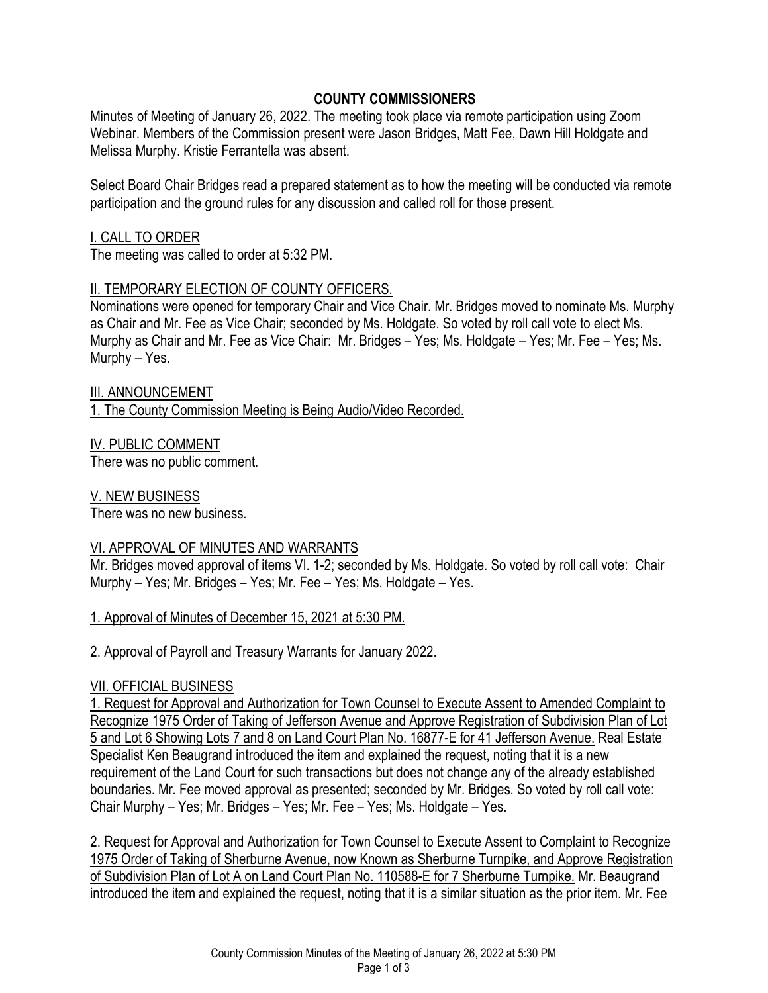## **COUNTY COMMISSIONERS**

Minutes of Meeting of January 26, 2022. The meeting took place via remote participation using Zoom Webinar. Members of the Commission present were Jason Bridges, Matt Fee, Dawn Hill Holdgate and Melissa Murphy. Kristie Ferrantella was absent.

Select Board Chair Bridges read a prepared statement as to how the meeting will be conducted via remote participation and the ground rules for any discussion and called roll for those present.

## I. CALL TO ORDER

The meeting was called to order at 5:32 PM.

# **II. TEMPORARY ELECTION OF COUNTY OFFICERS.**

Nominations were opened for temporary Chair and Vice Chair. Mr. Bridges moved to nominate Ms. Murphy as Chair and Mr. Fee as Vice Chair; seconded by Ms. Holdgate. So voted by roll call vote to elect Ms. Murphy as Chair and Mr. Fee as Vice Chair: Mr. Bridges – Yes; Ms. Holdgate – Yes; Mr. Fee – Yes; Ms. Murphy – Yes.

III. ANNOUNCEMENT 1. The County Commission Meeting is Being Audio/Video Recorded.

IV. PUBLIC COMMENT

There was no public comment.

V. NEW BUSINESS

There was no new business.

# VI. APPROVAL OF MINUTES AND WARRANTS

Mr. Bridges moved approval of items VI. 1-2; seconded by Ms. Holdgate. So voted by roll call vote: Chair Murphy – Yes; Mr. Bridges – Yes; Mr. Fee – Yes; Ms. Holdgate – Yes.

1. Approval of Minutes of December 15, 2021 at 5:30 PM.

2. Approval of Payroll and Treasury Warrants for January 2022.

## VII. OFFICIAL BUSINESS

1. Request for Approval and Authorization for Town Counsel to Execute Assent to Amended Complaint to Recognize 1975 Order of Taking of Jefferson Avenue and Approve Registration of Subdivision Plan of Lot 5 and Lot 6 Showing Lots 7 and 8 on Land Court Plan No. 16877-E for 41 Jefferson Avenue. Real Estate Specialist Ken Beaugrand introduced the item and explained the request, noting that it is a new requirement of the Land Court for such transactions but does not change any of the already established boundaries. Mr. Fee moved approval as presented; seconded by Mr. Bridges. So voted by roll call vote: Chair Murphy – Yes; Mr. Bridges – Yes; Mr. Fee – Yes; Ms. Holdgate – Yes.

2. Request for Approval and Authorization for Town Counsel to Execute Assent to Complaint to Recognize 1975 Order of Taking of Sherburne Avenue, now Known as Sherburne Turnpike, and Approve Registration of Subdivision Plan of Lot A on Land Court Plan No. 110588-E for 7 Sherburne Turnpike. Mr. Beaugrand introduced the item and explained the request, noting that it is a similar situation as the prior item. Mr. Fee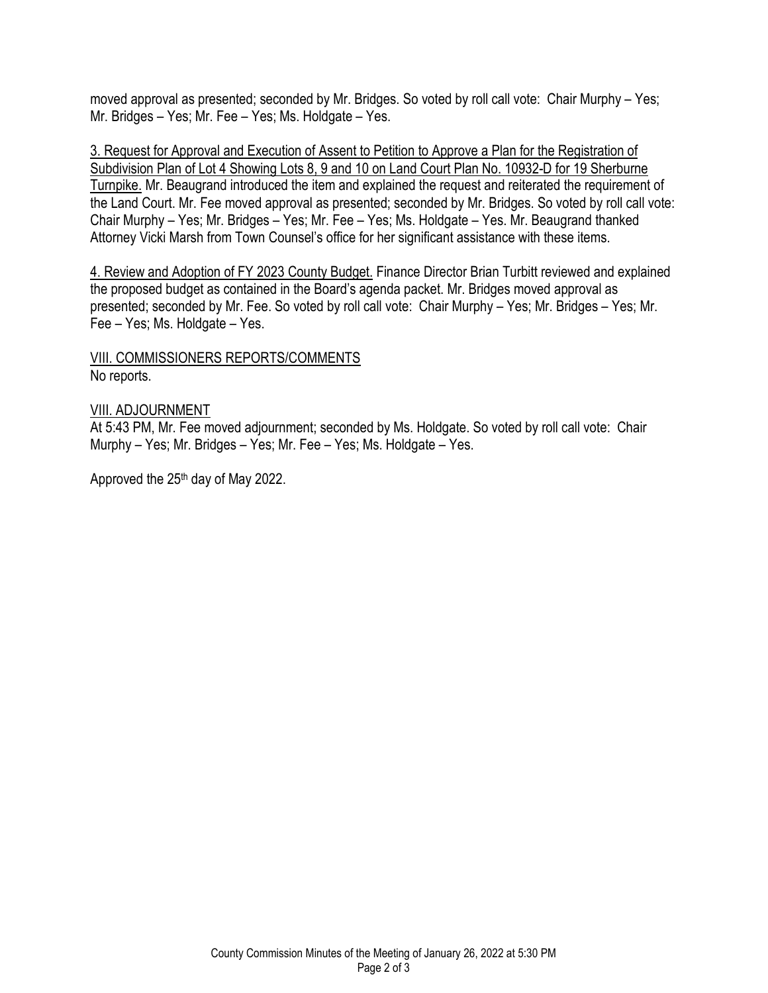moved approval as presented; seconded by Mr. Bridges. So voted by roll call vote: Chair Murphy – Yes; Mr. Bridges – Yes; Mr. Fee – Yes; Ms. Holdgate – Yes.

3. Request for Approval and Execution of Assent to Petition to Approve a Plan for the Registration of Subdivision Plan of Lot 4 Showing Lots 8, 9 and 10 on Land Court Plan No. 10932-D for 19 Sherburne Turnpike. Mr. Beaugrand introduced the item and explained the request and reiterated the requirement of the Land Court. Mr. Fee moved approval as presented; seconded by Mr. Bridges. So voted by roll call vote: Chair Murphy – Yes; Mr. Bridges – Yes; Mr. Fee – Yes; Ms. Holdgate – Yes. Mr. Beaugrand thanked Attorney Vicki Marsh from Town Counsel's office for her significant assistance with these items.

4. Review and Adoption of FY 2023 County Budget. Finance Director Brian Turbitt reviewed and explained the proposed budget as contained in the Board's agenda packet. Mr. Bridges moved approval as presented; seconded by Mr. Fee. So voted by roll call vote: Chair Murphy – Yes; Mr. Bridges – Yes; Mr. Fee – Yes; Ms. Holdgate – Yes.

VIII. COMMISSIONERS REPORTS/COMMENTS No reports.

#### VIII. ADJOURNMENT

At 5:43 PM, Mr. Fee moved adjournment; seconded by Ms. Holdgate. So voted by roll call vote: Chair Murphy – Yes; Mr. Bridges – Yes; Mr. Fee – Yes; Ms. Holdgate – Yes.

Approved the 25th day of May 2022.